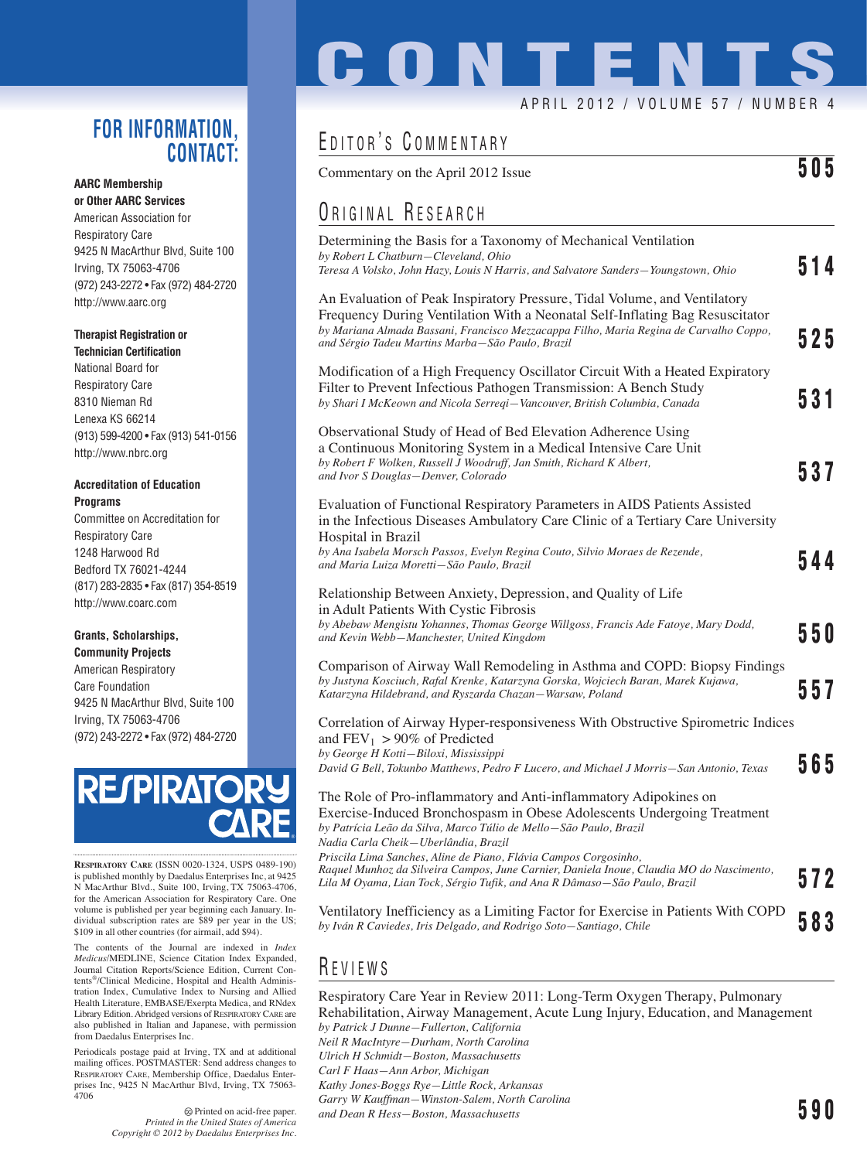### **FOR INFORMATION, CONTACT:**

#### **AARC Membership or Other AARC Services**

American Association for Respiratory Care 9425 N MacArthur Blvd, Suite 100 Irving, TX 75063-4706 (972) 243-2272 • Fax (972) 484-2720 http://www.aarc.org

#### **Therapist Registration or**

**Technician Certification** National Board for Respiratory Care 8310 Nieman Rd Lenexa KS 66214 (913) 599-4200 • Fax (913) 541-0156 http://www.nbrc.org

#### **Accreditation of Education Programs**

Committee on Accreditation for Respiratory Care 1248 Harwood Rd Bedford TX 76021-4244 (817) 283-2835 • Fax (817) 354-8519 http://www.coarc.com

#### **Grants, Scholarships, Community Projects**

American Respiratory Care Foundation 9425 N MacArthur Blvd, Suite 100 Irving, TX 75063-4706 (972) 243-2272 • Fax (972) 484-2720



**RESPIRATORY CARE** (ISSN 0020-1324, USPS 0489-190) is published monthly by Daedalus Enterprises Inc, at 9425 N MacArthur Blvd., Suite 100, Irving, TX 75063-4706, for the American Association for Respiratory Care. One volume is published per year beginning each January. Individual subscription rates are \$89 per year in the US; \$109 in all other countries (for airmail, add \$94).

The contents of the Journal are indexed in *Index Medicus*/MEDLINE, Science Citation Index Expanded, Journal Citation Reports/Science Edition, Current Contents®/Clinical Medicine, Hospital and Health Administration Index, Cumulative Index to Nursing and Allied Health Literature, EMBASE/Exerpta Medica, and RNdex Library Edition. Abridged versions of RESPIRATORY CARE are also published in Italian and Japanese, with permission from Daedalus Enterprises Inc.

Periodicals postage paid at Irving, TX and at additional mailing offices. POSTMASTER: Send address changes to RESPIRATORY CARE, Membership Office, Daedalus Enterprises Inc, 9425 N MacArthur Blvd, Irving, TX 75063- 4706

# **CONTENTS**

#### APRIL 2012 / VOLUME 57 / NUMBER 4

# EDITOR'S COMMENTARY

Commentary on the April 2012 Issue **505**

## ORIGINAL RESEARCH

| Determining the Basis for a Taxonomy of Mechanical Ventilation<br>by Robert L Chatburn-Cleveland, Ohio<br>Teresa A Volsko, John Hazy, Louis N Harris, and Salvatore Sanders-Youngstown, Ohio                                                                                                                    | 514 |
|-----------------------------------------------------------------------------------------------------------------------------------------------------------------------------------------------------------------------------------------------------------------------------------------------------------------|-----|
| An Evaluation of Peak Inspiratory Pressure, Tidal Volume, and Ventilatory<br>Frequency During Ventilation With a Neonatal Self-Inflating Bag Resuscitator<br>by Mariana Almada Bassani, Francisco Mezzacappa Filho, Maria Regina de Carvalho Coppo,<br>and Sérgio Tadeu Martins Marba-São Paulo, Brazil         | 525 |
| Modification of a High Frequency Oscillator Circuit With a Heated Expiratory<br>Filter to Prevent Infectious Pathogen Transmission: A Bench Study<br>by Shari I McKeown and Nicola Serregi-Vancouver, British Columbia, Canada                                                                                  | 531 |
| Observational Study of Head of Bed Elevation Adherence Using<br>a Continuous Monitoring System in a Medical Intensive Care Unit<br>by Robert F Wolken, Russell J Woodruff, Jan Smith, Richard K Albert,<br>and Ivor S Douglas-Denver, Colorado                                                                  | 537 |
| Evaluation of Functional Respiratory Parameters in AIDS Patients Assisted<br>in the Infectious Diseases Ambulatory Care Clinic of a Tertiary Care University<br>Hospital in Brazil<br>by Ana Isabela Morsch Passos, Evelyn Regina Couto, Silvio Moraes de Rezende,<br>and Maria Luiza Moretti–São Paulo, Brazil | 544 |
| Relationship Between Anxiety, Depression, and Quality of Life<br>in Adult Patients With Cystic Fibrosis<br>by Abebaw Mengistu Yohannes, Thomas George Willgoss, Francis Ade Fatoye, Mary Dodd,<br>and Kevin Webb-Manchester, United Kingdom                                                                     | 550 |
| Comparison of Airway Wall Remodeling in Asthma and COPD: Biopsy Findings<br>by Justyna Kosciuch, Rafal Krenke, Katarzyna Gorska, Wojciech Baran, Marek Kujawa,<br>Katarzyna Hildebrand, and Ryszarda Chazan-Warsaw, Poland                                                                                      | 557 |
| Correlation of Airway Hyper-responsiveness With Obstructive Spirometric Indices<br>and $FEV_1 > 90\%$ of Predicted<br>by George H Kotti-Biloxi, Mississippi<br>David G Bell, Tokunbo Matthews, Pedro F Lucero, and Michael J Morris-San Antonio, Texas                                                          | 565 |
| The Role of Pro-inflammatory and Anti-inflammatory Adipokines on<br>Exercise-Induced Bronchospasm in Obese Adolescents Undergoing Treatment<br>by Patrícia Leão da Silva, Marco Túlio de Mello–São Paulo, Brazil<br>Nadia Carla Cheik—Uberlândia, Brazil                                                        |     |
| Priscila Lima Sanches, Aline de Piano, Flávia Campos Corgosinho,<br>Raquel Munhoz da Silveira Campos, June Carnier, Daniela Inoue, Claudia MO do Nascimento,<br>Lila M Oyama, Lian Tock, Sérgio Tufik, and Ana R Dâmaso–São Paulo, Brazil                                                                       | 572 |
| Ventilatory Inefficiency as a Limiting Factor for Exercise in Patients With COPD<br>by Iván R Caviedes, Iris Delgado, and Rodrigo Soto–Santiago, Chile                                                                                                                                                          | 583 |
|                                                                                                                                                                                                                                                                                                                 |     |

## R EVIEWS

Respiratory Care Year in Review 2011: Long-Term Oxygen Therapy, Pulmonary Rehabilitation, Airway Management, Acute Lung Injury, Education, and Management *by Patrick J Dunne—Fullerton, California Neil R MacIntyre—Durham, North Carolina Ulrich H Schmidt—Boston, Massachusetts Carl F Haas—Ann Arbor, Michigan Kathy Jones-Boggs Rye—Little Rock, Arkansas Garry W Kauffman—Winston-Salem, North Carolina and Dean R Hess—Boston, Massachusetts* **590**